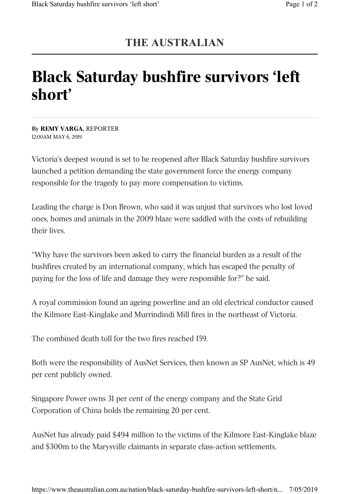## **THE AUSTRALIAN**

## Black Saturday bushfire survivors 'left short'

By REMY VARGA, REPORTER 12:00AM MAY 6, 2019

Victoria's deepest wound is set to be reopened after Black Saturday bushfire survivors launched a petition demanding the state government force the energy company responsible for the tragedy to pay more compensation to victims.

Leading the charge is Don Brown, who said it was unjust that survivors who lost loved ones, homes and animals in the 2009 blaze were saddled with the costs of rebuilding their lives.

"Why have the survivors been asked to carry the financial burden as a result of the bushfires created by an international company, which has escaped the penalty of paying for the loss of life and damage they were responsible for?" he said.

A royal commission found an ageing powerline and an old electrical conductor caused the Kilmore East-Kinglake and Murrindindi Mill fires in the northeast of Victoria.

The combined death toll for the two fires reached 159.

Both were the responsibility of AusNet Services, then known as SP AusNet, which is 49 per cent publicly owned.

Singapore Power owns 31 per cent of the energy company and the State Grid Corporation of China holds the remaining 20 per cent.

AusNet has already paid \$494 million to the victims of the Kilmore East-Kinglake blaze and \$300m to the Marysville claimants in separate class-action settlements.